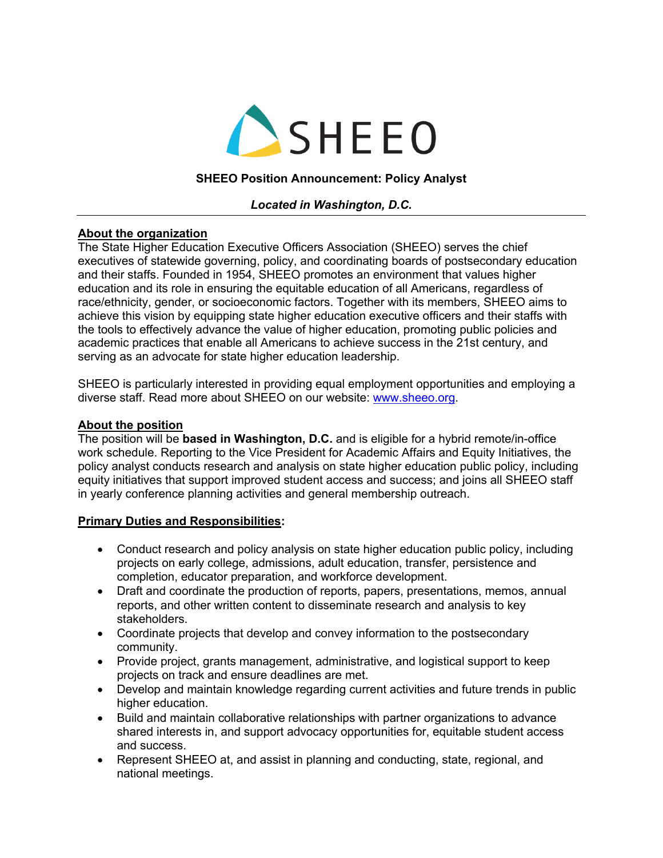

### **SHEEO Position Announcement: Policy Analyst**

### *Located in Washington, D.C.*

### **About the organization**

The State Higher Education Executive Officers Association (SHEEO) serves the chief executives of statewide governing, policy, and coordinating boards of postsecondary education and their staffs. Founded in 1954, SHEEO promotes an environment that values higher education and its role in ensuring the equitable education of all Americans, regardless of race/ethnicity, gender, or socioeconomic factors. Together with its members, SHEEO aims to achieve this vision by equipping state higher education executive officers and their staffs with the tools to effectively advance the value of higher education, promoting public policies and academic practices that enable all Americans to achieve success in the 21st century, and serving as an advocate for state higher education leadership.

SHEEO is particularly interested in providing equal employment opportunities and employing a diverse staff. Read more about SHEEO on our website: www.sheeo.org.

#### **About the position**

The position will be **based in Washington, D.C.** and is eligible for a hybrid remote/in-office work schedule. Reporting to the Vice President for Academic Affairs and Equity Initiatives, the policy analyst conducts research and analysis on state higher education public policy, including equity initiatives that support improved student access and success; and joins all SHEEO staff in yearly conference planning activities and general membership outreach.

#### **Primary Duties and Responsibilities:**

- Conduct research and policy analysis on state higher education public policy, including projects on early college, admissions, adult education, transfer, persistence and completion, educator preparation, and workforce development.
- Draft and coordinate the production of reports, papers, presentations, memos, annual reports, and other written content to disseminate research and analysis to key stakeholders.
- Coordinate projects that develop and convey information to the postsecondary community.
- Provide project, grants management, administrative, and logistical support to keep projects on track and ensure deadlines are met.
- Develop and maintain knowledge regarding current activities and future trends in public higher education.
- Build and maintain collaborative relationships with partner organizations to advance shared interests in, and support advocacy opportunities for, equitable student access and success.
- Represent SHEEO at, and assist in planning and conducting, state, regional, and national meetings.